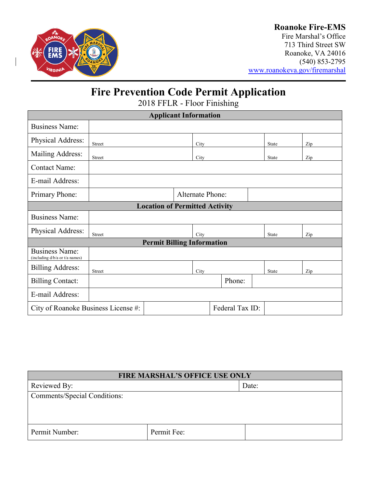

## **Roanoke Fire-EMS**

Fire Marshal's Office 713 Third Street SW Roanoke, VA 24016 (540) 853-2795 [www.roanokeva.gov/firemarshal](http://www.roanokeva.gov/firemarshal)

## **Fire Prevention Code Permit Application**

2018 FFLR - Floor Finishing

| <b>Applicant Information</b>                            |               |  |                         |        |       |       |     |
|---------------------------------------------------------|---------------|--|-------------------------|--------|-------|-------|-----|
| <b>Business Name:</b>                                   |               |  |                         |        |       |       |     |
| Physical Address:                                       | <b>Street</b> |  | City                    |        |       | State | Zip |
| Mailing Address:                                        | <b>Street</b> |  | City                    |        | State | Zip   |     |
| <b>Contact Name:</b>                                    |               |  |                         |        |       |       |     |
| E-mail Address:                                         |               |  |                         |        |       |       |     |
| Primary Phone:                                          |               |  | <b>Alternate Phone:</b> |        |       |       |     |
| <b>Location of Permitted Activity</b>                   |               |  |                         |        |       |       |     |
| <b>Business Name:</b>                                   |               |  |                         |        |       |       |     |
| Physical Address:                                       | Street        |  | City                    |        |       | State | Zip |
| <b>Permit Billing Information</b>                       |               |  |                         |        |       |       |     |
| <b>Business Name:</b><br>(including d/b/a or t/a names) |               |  |                         |        |       |       |     |
| <b>Billing Address:</b>                                 | <b>Street</b> |  | City                    |        |       | State | Zip |
| <b>Billing Contact:</b>                                 |               |  |                         | Phone: |       |       |     |
| E-mail Address:                                         |               |  |                         |        |       |       |     |
| Federal Tax ID:<br>City of Roanoke Business License #:  |               |  |                         |        |       |       |     |

| <b>FIRE MARSHAL'S OFFICE USE ONLY</b> |             |       |  |  |
|---------------------------------------|-------------|-------|--|--|
| Reviewed By:                          |             | Date: |  |  |
| <b>Comments/Special Conditions:</b>   |             |       |  |  |
|                                       |             |       |  |  |
|                                       |             |       |  |  |
| Permit Number:                        | Permit Fee: |       |  |  |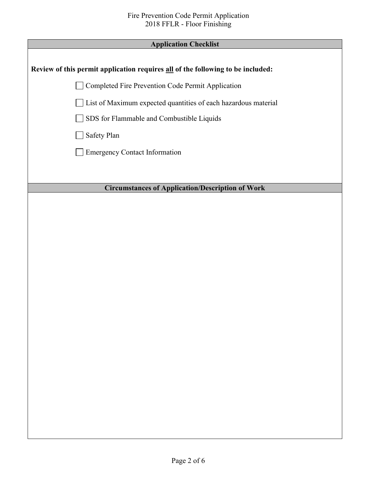| <b>Application Checklist</b>                                                    |  |  |  |
|---------------------------------------------------------------------------------|--|--|--|
|                                                                                 |  |  |  |
| Review of this permit application requires all of the following to be included: |  |  |  |
| Completed Fire Prevention Code Permit Application                               |  |  |  |
| List of Maximum expected quantities of each hazardous material                  |  |  |  |
| SDS for Flammable and Combustible Liquids                                       |  |  |  |
| Safety Plan                                                                     |  |  |  |
| <b>Emergency Contact Information</b>                                            |  |  |  |
|                                                                                 |  |  |  |
|                                                                                 |  |  |  |
| <b>Circumstances of Application/Description of Work</b>                         |  |  |  |
|                                                                                 |  |  |  |
|                                                                                 |  |  |  |
|                                                                                 |  |  |  |
|                                                                                 |  |  |  |
|                                                                                 |  |  |  |
|                                                                                 |  |  |  |
|                                                                                 |  |  |  |
|                                                                                 |  |  |  |
|                                                                                 |  |  |  |
|                                                                                 |  |  |  |
|                                                                                 |  |  |  |
|                                                                                 |  |  |  |
|                                                                                 |  |  |  |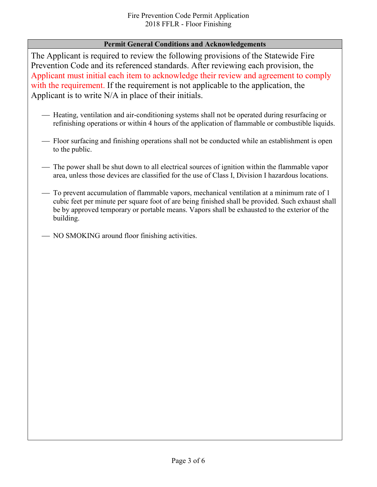## **Permit General Conditions and Acknowledgements**

The Applicant is required to review the following provisions of the Statewide Fire Prevention Code and its referenced standards. After reviewing each provision, the Applicant must initial each item to acknowledge their review and agreement to comply with the requirement. If the requirement is not applicable to the application, the Applicant is to write N/A in place of their initials.

- Heating, ventilation and air-conditioning systems shall not be operated during resurfacing or refinishing operations or within 4 hours of the application of flammable or combustible liquids.
- Floor surfacing and finishing operations shall not be conducted while an establishment is open to the public.
- The power shall be shut down to all electrical sources of ignition within the flammable vapor area, unless those devices are classified for the use of Class I, Division I hazardous locations.
- To prevent accumulation of flammable vapors, mechanical ventilation at a minimum rate of 1 cubic feet per minute per square foot of are being finished shall be provided. Such exhaust shall be by approved temporary or portable means. Vapors shall be exhausted to the exterior of the building.
- NO SMOKING around floor finishing activities.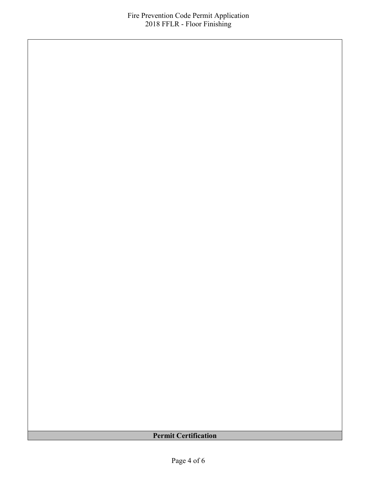**Permit Certification**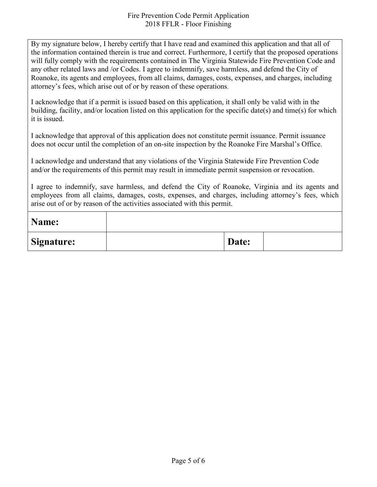By my signature below, I hereby certify that I have read and examined this application and that all of the information contained therein is true and correct. Furthermore, I certify that the proposed operations will fully comply with the requirements contained in The Virginia Statewide Fire Prevention Code and any other related laws and /or Codes. I agree to indemnify, save harmless, and defend the City of Roanoke, its agents and employees, from all claims, damages, costs, expenses, and charges, including attorney's fees, which arise out of or by reason of these operations.

I acknowledge that if a permit is issued based on this application, it shall only be valid with in the building, facility, and/or location listed on this application for the specific date(s) and time(s) for which it is issued.

I acknowledge that approval of this application does not constitute permit issuance. Permit issuance does not occur until the completion of an on-site inspection by the Roanoke Fire Marshal's Office.

I acknowledge and understand that any violations of the Virginia Statewide Fire Prevention Code and/or the requirements of this permit may result in immediate permit suspension or revocation.

I agree to indemnify, save harmless, and defend the City of Roanoke, Virginia and its agents and employees from all claims, damages, costs, expenses, and charges, including attorney's fees, which arise out of or by reason of the activities associated with this permit.

| Name:             |       |  |
|-------------------|-------|--|
| <b>Signature:</b> | Date: |  |